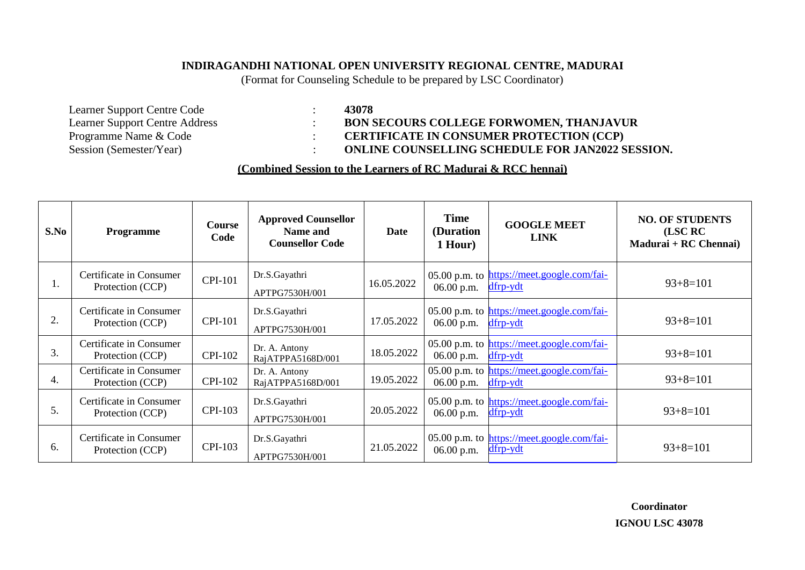## **INDIRAGANDHI NATIONAL OPEN UNIVERSITY REGIONAL CENTRE, MADURAI**

(Format for Counseling Schedule to be prepared by LSC Coordinator)

Learner Support Centre Code : **43078** Learner Support Centre Address : **BON SECOURS COLLEGE FORWOMEN, THANJAVUR**<br>Programme Name & Code : **CERTIFICATE IN CONSUMER PROTECTION** (CCP) Programme Name & Code : <br>
Session (Semester/Year) : **CERTIFICATE IN CONSUMER PROTECTION** (CCP)<br> **CERTIFICATE IN CONSUMER PROTECTION** (CCP)

 $\cdot$  **ONLINE COUNSELLING SCHEDULE FOR JAN2022 SESSION.** 

## **(Combined Session to the Learners of RC Madurai & RCC hennai)**

| S.No | <b>Programme</b>                            | <b>Course</b><br>Code | <b>Approved Counsellor</b><br>Name and<br><b>Counsellor Code</b> | Date       | <b>Time</b><br>(Duration<br>1 Hour) | <b>GOOGLE MEET</b><br><b>LINK</b>                      | <b>NO. OF STUDENTS</b><br>(LSC RC<br>Madurai + RC Chennai) |
|------|---------------------------------------------|-----------------------|------------------------------------------------------------------|------------|-------------------------------------|--------------------------------------------------------|------------------------------------------------------------|
| ı.   | Certificate in Consumer<br>Protection (CCP) | <b>CPI-101</b>        | Dr.S.Gayathri<br>APTPG7530H/001                                  | 16.05.2022 | 06.00 p.m.                          | 05.00 p.m. to https://meet.google.com/fai-<br>dfrp-ydt | $93+8=101$                                                 |
| 2.   | Certificate in Consumer<br>Protection (CCP) | <b>CPI-101</b>        | Dr.S.Gayathri<br>APTPG7530H/001                                  | 17.05.2022 | $06.00$ p.m.                        | 05.00 p.m. to https://meet.google.com/fai-<br>dfrp-ydt | $93+8=101$                                                 |
| 3.   | Certificate in Consumer<br>Protection (CCP) | <b>CPI-102</b>        | Dr. A. Antony<br>RajATPPA5168D/001                               | 18.05.2022 | $06.00$ p.m.                        | 05.00 p.m. to https://meet.google.com/fai-<br>dfrp-ydt | $93+8=101$                                                 |
| 4.   | Certificate in Consumer<br>Protection (CCP) | <b>CPI-102</b>        | Dr. A. Antony<br>RajATPPA5168D/001                               | 19.05.2022 | $06.00$ p.m.                        | 05.00 p.m. to https://meet.google.com/fai-<br>dfrp-ydt | $93+8=101$                                                 |
| 5.   | Certificate in Consumer<br>Protection (CCP) | <b>CPI-103</b>        | Dr.S.Gayathri<br>APTPG7530H/001                                  | 20.05.2022 | 06.00 p.m.                          | 05.00 p.m. to https://meet.google.com/fai-<br>dfrp-ydt | $93+8=101$                                                 |
| 6.   | Certificate in Consumer<br>Protection (CCP) | <b>CPI-103</b>        | Dr.S.Gayathri<br>APTPG7530H/001                                  | 21.05.2022 | $06.00$ p.m.                        | 05.00 p.m. to https://meet.google.com/fai-<br>dfrp-ydt | $93+8=101$                                                 |